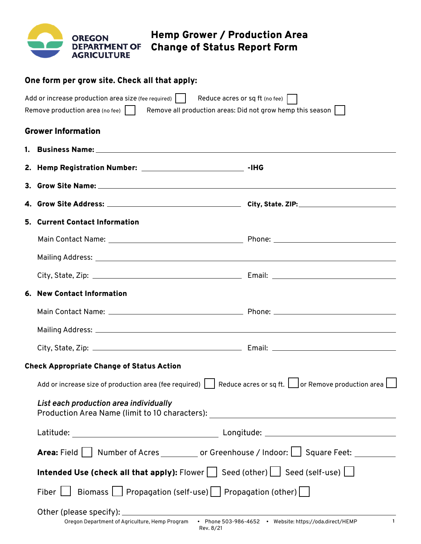|                                                                                         |                                                                                                                            | <b>OREGON</b><br><b>DEPARTMENT OF</b><br><b>AGRICULTURE</b> | <b>Hemp Grower / Production Area</b><br><b>Change of Status Report Form</b>                                          |                                                            |  |  |  |  |  |  |
|-----------------------------------------------------------------------------------------|----------------------------------------------------------------------------------------------------------------------------|-------------------------------------------------------------|----------------------------------------------------------------------------------------------------------------------|------------------------------------------------------------|--|--|--|--|--|--|
|                                                                                         | One form per grow site. Check all that apply:                                                                              |                                                             |                                                                                                                      |                                                            |  |  |  |  |  |  |
|                                                                                         |                                                                                                                            | Remove production area (no fee) $ \;\; $                    | Add or increase production area size (fee required) $\vert\;\;\vert$ Reduce acres or sq ft (no fee) $\vert\;\;\vert$ | Remove all production areas: Did not grow hemp this season |  |  |  |  |  |  |
|                                                                                         |                                                                                                                            | <b>Grower Information</b>                                   |                                                                                                                      |                                                            |  |  |  |  |  |  |
|                                                                                         |                                                                                                                            |                                                             |                                                                                                                      |                                                            |  |  |  |  |  |  |
|                                                                                         |                                                                                                                            |                                                             | 2. Hemp Registration Number: ________________________________ -IHG                                                   |                                                            |  |  |  |  |  |  |
|                                                                                         |                                                                                                                            |                                                             |                                                                                                                      |                                                            |  |  |  |  |  |  |
|                                                                                         |                                                                                                                            |                                                             |                                                                                                                      |                                                            |  |  |  |  |  |  |
|                                                                                         |                                                                                                                            | 5. Current Contact Information                              |                                                                                                                      |                                                            |  |  |  |  |  |  |
|                                                                                         |                                                                                                                            |                                                             |                                                                                                                      |                                                            |  |  |  |  |  |  |
|                                                                                         |                                                                                                                            |                                                             |                                                                                                                      |                                                            |  |  |  |  |  |  |
|                                                                                         |                                                                                                                            |                                                             |                                                                                                                      |                                                            |  |  |  |  |  |  |
|                                                                                         |                                                                                                                            | 6. New Contact Information                                  |                                                                                                                      |                                                            |  |  |  |  |  |  |
|                                                                                         |                                                                                                                            |                                                             |                                                                                                                      |                                                            |  |  |  |  |  |  |
|                                                                                         |                                                                                                                            |                                                             |                                                                                                                      |                                                            |  |  |  |  |  |  |
|                                                                                         |                                                                                                                            |                                                             |                                                                                                                      |                                                            |  |  |  |  |  |  |
| <b>Check Appropriate Change of Status Action</b>                                        |                                                                                                                            |                                                             |                                                                                                                      |                                                            |  |  |  |  |  |  |
|                                                                                         | Add or increase size of production area (fee required) Reduce acres or sq ft.   or Remove production area                  |                                                             |                                                                                                                      |                                                            |  |  |  |  |  |  |
|                                                                                         | List each production area individually<br>Production Area Name (limit to 10 characters): _________________________________ |                                                             |                                                                                                                      |                                                            |  |  |  |  |  |  |
|                                                                                         |                                                                                                                            |                                                             |                                                                                                                      |                                                            |  |  |  |  |  |  |
| Area: Field   Number of Acres _________ or Greenhouse / Indoor:   Square Feet: ________ |                                                                                                                            |                                                             |                                                                                                                      |                                                            |  |  |  |  |  |  |
|                                                                                         | Intended Use (check all that apply): Flower   Seed (other)   Seed (self-use)                                               |                                                             |                                                                                                                      |                                                            |  |  |  |  |  |  |
|                                                                                         | Fiber $\Box$ Biomass $\Box$ Propagation (self-use)   Propagation (other)                                                   |                                                             |                                                                                                                      |                                                            |  |  |  |  |  |  |
|                                                                                         |                                                                                                                            |                                                             |                                                                                                                      |                                                            |  |  |  |  |  |  |
|                                                                                         |                                                                                                                            |                                                             |                                                                                                                      |                                                            |  |  |  |  |  |  |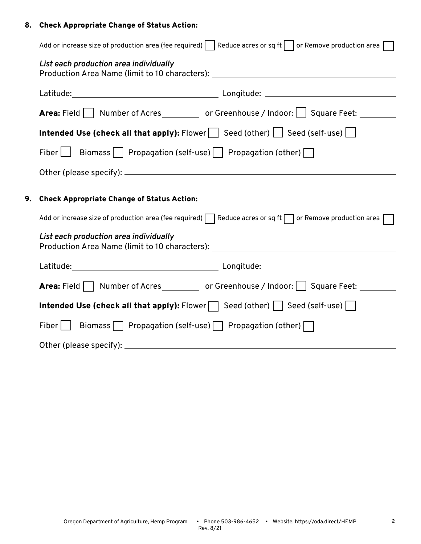# 8. Check Appropriate Change of Status Action:

|    | Add or increase size of production area (fee required)   Reduce acres or sq ft or Remove production area $\Box$<br>List each production area individually<br>Production Area Name (limit to 10 characters): _________________________________ |  |  |  |  |  |
|----|-----------------------------------------------------------------------------------------------------------------------------------------------------------------------------------------------------------------------------------------------|--|--|--|--|--|
|    |                                                                                                                                                                                                                                               |  |  |  |  |  |
|    |                                                                                                                                                                                                                                               |  |  |  |  |  |
|    | Area: Field   Number of Acres _________ or Greenhouse / Indoor:   Square Feet: _______                                                                                                                                                        |  |  |  |  |  |
|    | Intended Use (check all that apply): Flower $\Box$ Seed (other) $\Box$ Seed (self-use) $\Box$                                                                                                                                                 |  |  |  |  |  |
|    | Fiber $\Box$ Biomass     Propagation (self-use)     Propagation (other) $\Box$                                                                                                                                                                |  |  |  |  |  |
|    |                                                                                                                                                                                                                                               |  |  |  |  |  |
| 9. | <b>Check Appropriate Change of Status Action:</b>                                                                                                                                                                                             |  |  |  |  |  |
|    | Add or increase size of production area (fee required) Reduce acres or sq ft or Remove production area                                                                                                                                        |  |  |  |  |  |
|    | List each production area individually<br>Production Area Name (limit to 10 characters): _________________________________                                                                                                                    |  |  |  |  |  |
|    |                                                                                                                                                                                                                                               |  |  |  |  |  |
|    | Area: Field Number of Acres _________ or Greenhouse / Indoor: Square Feet: _____                                                                                                                                                              |  |  |  |  |  |
|    | Intended Use (check all that apply): Flower $\Box$ Seed (other) $\vert$ Seed (self-use) $\Box$<br>Fiber $\Box$ Biomass $\Box$ Propagation (self-use) $\Box$ Propagation (other) $\Box$                                                        |  |  |  |  |  |
|    |                                                                                                                                                                                                                                               |  |  |  |  |  |
|    |                                                                                                                                                                                                                                               |  |  |  |  |  |
|    |                                                                                                                                                                                                                                               |  |  |  |  |  |